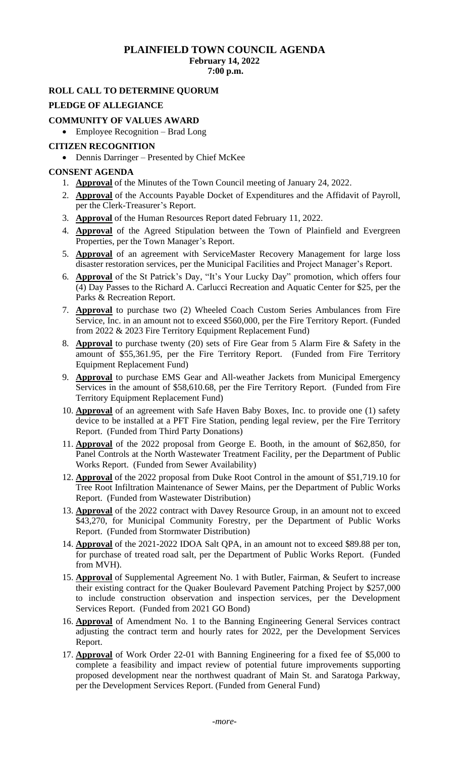## **PLAINFIELD TOWN COUNCIL AGENDA February 14, 2022 7:00 p.m.**

# **ROLL CALL TO DETERMINE QUORUM**

## **PLEDGE OF ALLEGIANCE**

## **COMMUNITY OF VALUES AWARD**

• Employee Recognition – Brad Long

#### **CITIZEN RECOGNITION**

• Dennis Darringer – Presented by Chief McKee

## **CONSENT AGENDA**

- 1. **Approval** of the Minutes of the Town Council meeting of January 24, 2022.
- 2. **Approval** of the Accounts Payable Docket of Expenditures and the Affidavit of Payroll, per the Clerk-Treasurer's Report.
- 3. **Approval** of the Human Resources Report dated February 11, 2022.
- 4. **Approval** of the Agreed Stipulation between the Town of Plainfield and Evergreen Properties, per the Town Manager's Report.
- 5. **Approval** of an agreement with ServiceMaster Recovery Management for large loss disaster restoration services, per the Municipal Facilities and Project Manager's Report.
- 6. **Approval** of the St Patrick's Day, "It's Your Lucky Day" promotion, which offers four (4) Day Passes to the Richard A. Carlucci Recreation and Aquatic Center for \$25, per the Parks & Recreation Report.
- 7. **Approval** to purchase two (2) Wheeled Coach Custom Series Ambulances from Fire Service, Inc. in an amount not to exceed \$560,000, per the Fire Territory Report. (Funded from 2022 & 2023 Fire Territory Equipment Replacement Fund)
- 8. **Approval** to purchase twenty (20) sets of Fire Gear from 5 Alarm Fire & Safety in the amount of \$55,361.95, per the Fire Territory Report. (Funded from Fire Territory Equipment Replacement Fund)
- 9. **Approval** to purchase EMS Gear and All-weather Jackets from Municipal Emergency Services in the amount of \$58,610.68, per the Fire Territory Report. (Funded from Fire Territory Equipment Replacement Fund)
- 10. **Approval** of an agreement with Safe Haven Baby Boxes, Inc. to provide one (1) safety device to be installed at a PFT Fire Station, pending legal review, per the Fire Territory Report. (Funded from Third Party Donations)
- 11. **Approval** of the 2022 proposal from George E. Booth, in the amount of \$62,850, for Panel Controls at the North Wastewater Treatment Facility, per the Department of Public Works Report. (Funded from Sewer Availability)
- 12. **Approval** of the 2022 proposal from Duke Root Control in the amount of \$51,719.10 for Tree Root Infiltration Maintenance of Sewer Mains, per the Department of Public Works Report. (Funded from Wastewater Distribution)
- 13. **Approval** of the 2022 contract with Davey Resource Group, in an amount not to exceed \$43,270, for Municipal Community Forestry, per the Department of Public Works Report. (Funded from Stormwater Distribution)
- 14. **Approval** of the 2021-2022 IDOA Salt QPA, in an amount not to exceed \$89.88 per ton, for purchase of treated road salt, per the Department of Public Works Report. (Funded from MVH).
- 15. **Approval** of Supplemental Agreement No. 1 with Butler, Fairman, & Seufert to increase their existing contract for the Quaker Boulevard Pavement Patching Project by \$257,000 to include construction observation and inspection services, per the Development Services Report. (Funded from 2021 GO Bond)
- 16. **Approval** of Amendment No. 1 to the Banning Engineering General Services contract adjusting the contract term and hourly rates for 2022, per the Development Services Report.
- 17. **Approval** of Work Order 22-01 with Banning Engineering for a fixed fee of \$5,000 to complete a feasibility and impact review of potential future improvements supporting proposed development near the northwest quadrant of Main St. and Saratoga Parkway, per the Development Services Report. (Funded from General Fund)